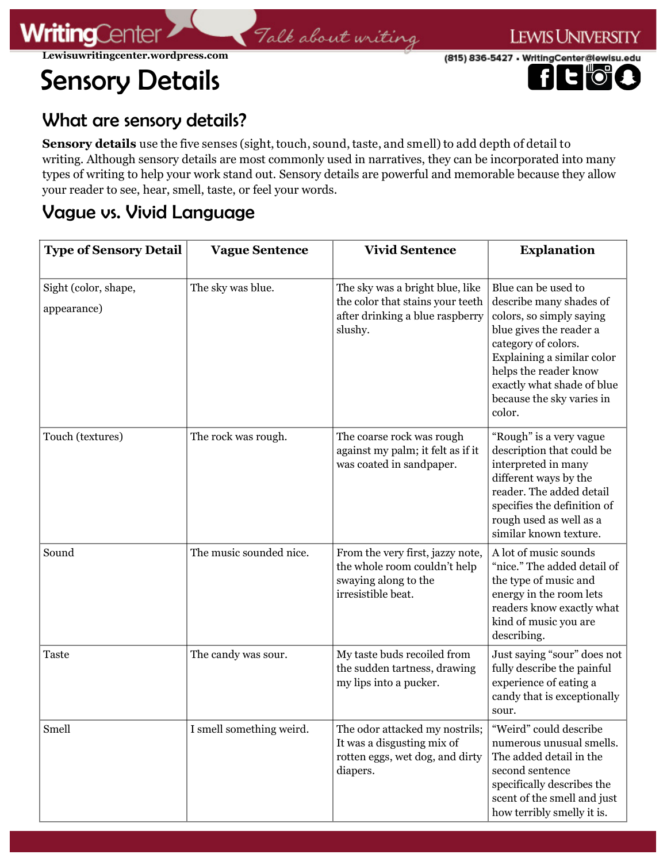(815) 836-5427 • WritingCenter@lewisu.edu

# **e r**

**LEWIS UNIVERSITY** 

## What are sensory details?

**Sensory details** use the five senses (sight, touch, sound, taste, and smell) to add depth of detail to writing. Although sensory details are most commonly used in narratives, they can be incorporated into many types of writing to help your work stand out. Sensory details are powerful and memorable because they allow your reader to see, hear, smell, taste, or feel your words.

Talk about writing

### Vague vs. Vivid Language

| <b>Type of Sensory Detail</b>       | <b>Vague Sentence</b>    | <b>Vivid Sentence</b>                                                                                             | <b>Explanation</b>                                                                                                                                                                                                                                       |
|-------------------------------------|--------------------------|-------------------------------------------------------------------------------------------------------------------|----------------------------------------------------------------------------------------------------------------------------------------------------------------------------------------------------------------------------------------------------------|
| Sight (color, shape,<br>appearance) | The sky was blue.        | The sky was a bright blue, like<br>the color that stains your teeth<br>after drinking a blue raspberry<br>slushy. | Blue can be used to<br>describe many shades of<br>colors, so simply saying<br>blue gives the reader a<br>category of colors.<br>Explaining a similar color<br>helps the reader know<br>exactly what shade of blue<br>because the sky varies in<br>color. |
| Touch (textures)                    | The rock was rough.      | The coarse rock was rough<br>against my palm; it felt as if it<br>was coated in sandpaper.                        | "Rough" is a very vague<br>description that could be<br>interpreted in many<br>different ways by the<br>reader. The added detail<br>specifies the definition of<br>rough used as well as a<br>similar known texture.                                     |
| Sound                               | The music sounded nice.  | From the very first, jazzy note,<br>the whole room couldn't help<br>swaying along to the<br>irresistible beat.    | A lot of music sounds<br>"nice." The added detail of<br>the type of music and<br>energy in the room lets<br>readers know exactly what<br>kind of music you are<br>describing.                                                                            |
| <b>Taste</b>                        | The candy was sour.      | My taste buds recoiled from<br>the sudden tartness, drawing<br>my lips into a pucker.                             | Just saying "sour" does not<br>fully describe the painful<br>experience of eating a<br>candy that is exceptionally<br>sour.                                                                                                                              |
| Smell                               | I smell something weird. | The odor attacked my nostrils;<br>It was a disgusting mix of<br>rotten eggs, wet dog, and dirty<br>diapers.       | "Weird" could describe<br>numerous unusual smells.<br>The added detail in the<br>second sentence<br>specifically describes the<br>scent of the smell and just<br>how terribly smelly it is.                                                              |